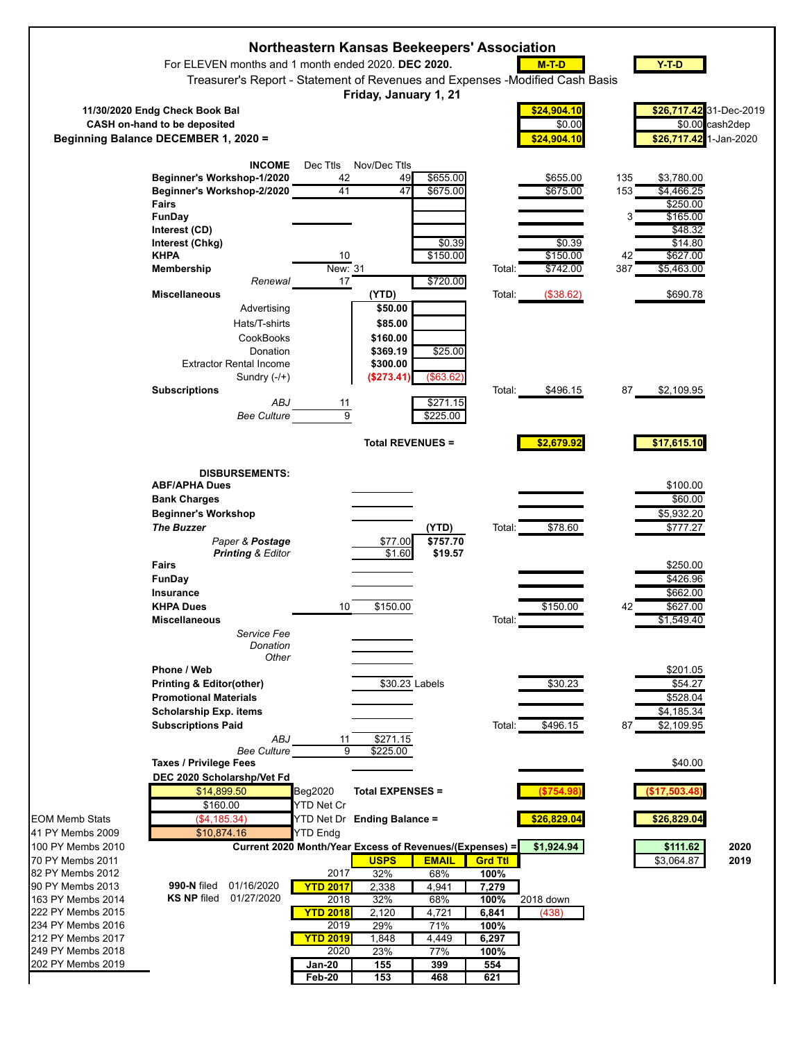|                                                                                                                                                                    | For ELEVEN months and 1 month ended 2020. DEC 2020.<br>Treasurer's Report - Statement of Revenues and Expenses - Modified Cash Basis                                                                                                                      | Northeastern Kansas Beekeepers' Association                                                               | Friday, January 1, 21                                                           |                                                                   |                                                                       | $M-T-D$                                                             | $Y-T-D$                                                                                                                                      |                 |
|--------------------------------------------------------------------------------------------------------------------------------------------------------------------|-----------------------------------------------------------------------------------------------------------------------------------------------------------------------------------------------------------------------------------------------------------|-----------------------------------------------------------------------------------------------------------|---------------------------------------------------------------------------------|-------------------------------------------------------------------|-----------------------------------------------------------------------|---------------------------------------------------------------------|----------------------------------------------------------------------------------------------------------------------------------------------|-----------------|
|                                                                                                                                                                    | 11/30/2020 Endg Check Book Bal<br>CASH on-hand to be deposited<br>Beginning Balance DECEMBER 1, 2020 =                                                                                                                                                    |                                                                                                           |                                                                                 |                                                                   |                                                                       | \$24,904.10<br>\$0.00<br>\$24,904.10                                | \$26,717.42 31-Dec-2019<br>\$26,717.42 1-Jan-2020                                                                                            | \$0.00 cash2dep |
|                                                                                                                                                                    | <b>INCOME</b><br>Beginner's Workshop-1/2020<br>Beginner's Workshop-2/2020<br>Fairs<br>FunDay<br>Interest (CD)<br>Interest (Chkg)<br><b>KHPA</b><br>Membership<br>Renewal<br><b>Miscellaneous</b><br>Advertising<br>Hats/T-shirts<br>CookBooks<br>Donation | Dec Ttls<br>42<br>41<br>10<br>New: 31<br>$17\,$                                                           | Nov/Dec Ttls<br>49<br>47<br>(YTD)<br>\$50.00<br>\$85.00<br>\$160.00<br>\$369.19 | \$655.00<br>\$675.00<br>\$0.39<br>\$150.00<br>\$720.00<br>\$25.00 | Total:<br>Total:                                                      | \$655.00<br>\$675.00<br>\$0.39<br>\$150.00<br>\$742.00<br>(\$38.62) | 135<br>\$3,780.00<br>\$4,466.25<br>153<br>\$250.00<br>\$165.00<br>3<br>\$48.32<br>\$14.80<br>42<br>\$627.00<br>387<br>\$5,463.00<br>\$690.78 |                 |
|                                                                                                                                                                    | <b>Extractor Rental Income</b><br>Sundry (-/+)<br><b>Subscriptions</b><br>ABJ<br><b>Bee Culture</b>                                                                                                                                                       | 11<br>$\overline{9}$                                                                                      | \$300.00<br>(\$273.41)                                                          | (\$63.62)<br>\$271.15<br>\$225.00                                 | Total:                                                                | \$496.15                                                            | 87<br>\$2,109.95                                                                                                                             |                 |
|                                                                                                                                                                    |                                                                                                                                                                                                                                                           |                                                                                                           | <b>Total REVENUES =</b>                                                         |                                                                   |                                                                       | \$2,679.92                                                          | \$17,615.10                                                                                                                                  |                 |
|                                                                                                                                                                    | <b>DISBURSEMENTS:</b><br><b>ABF/APHA Dues</b><br><b>Bank Charges</b><br><b>Beginner's Workshop</b><br><b>The Buzzer</b><br>Paper & Postage<br><b>Printing &amp; Editor</b><br>Fairs<br>FunDay                                                             |                                                                                                           | \$77.00<br>\$1.60                                                               | (YTD)<br>\$757.70<br>\$19.57                                      | Total:                                                                | \$78.60                                                             | \$100.00<br>\$60.00<br>\$5,932.20<br>\$777.27<br>\$250.00<br>\$426.96                                                                        |                 |
|                                                                                                                                                                    | Insurance<br><b>KHPA Dues</b><br><b>Miscellaneous</b><br>Service Fee<br>Donation                                                                                                                                                                          | 10                                                                                                        | \$150.00                                                                        |                                                                   | lotal:                                                                | \$150.00                                                            | \$662.00<br>\$627.00<br>42<br>\$1,549.40                                                                                                     |                 |
|                                                                                                                                                                    | Other<br>Phone / Web<br><b>Printing &amp; Editor(other)</b><br><b>Promotional Materials</b><br><b>Scholarship Exp. items</b><br><b>Subscriptions Paid</b><br>ABJ                                                                                          | 11                                                                                                        | \$30.23 Labels<br>\$271.15                                                      |                                                                   | Total:                                                                | \$30.23<br>\$496.15                                                 | \$201.05<br>\$54.27<br>\$528.04<br>\$4,185.34<br>\$2,109.95<br>87                                                                            |                 |
|                                                                                                                                                                    | <b>Bee Culture</b><br><b>Taxes / Privilege Fees</b><br>DEC 2020 Scholarshp/Vet Fd<br>\$14,899.50<br>\$160.00                                                                                                                                              | 9<br>Beg2020<br>YTD Net Cr                                                                                | \$225.00<br><b>Total EXPENSES =</b>                                             |                                                                   |                                                                       | (\$754.98                                                           | \$40.00<br>(\$17,503.48                                                                                                                      |                 |
| EOM Memb Stats<br>41 PY Membs 2009<br>100 PY Membs 2010<br>70 PY Membs 2011                                                                                        | (\$4,185.34)<br>\$10,874.16<br>Current 2020 Month/Year Excess of Revenues/(Expenses) =                                                                                                                                                                    | YTD Net Dr Ending Balance =<br><b>YTD Endg</b>                                                            | <b>USPS</b>                                                                     | <b>EMAIL</b>                                                      | <b>Grd Ttl</b>                                                        | \$26,829.04<br>\$1,924.94                                           | \$26,829.04<br>\$111.62<br>\$3,064.87                                                                                                        | 2020<br>2019    |
| 82 PY Membs 2012<br>90 PY Membs 2013<br>163 PY Membs 2014<br>222 PY Membs 2015<br>234 PY Membs 2016<br>212 PY Membs 2017<br>249 PY Membs 2018<br>202 PY Membs 2019 | 01/16/2020<br>990-N filed<br><b>KS NP filed</b><br>01/27/2020                                                                                                                                                                                             | 2017<br><b>YTD 2017</b><br>2018<br><b>YTD 2018</b><br>2019<br><b>YTD 2019</b><br>2020<br>Jan-20<br>Feb-20 | 32%<br>2,338<br>32%<br>2,120<br>29%<br>1,848<br>23%<br>155<br>153               | 68%<br>4,941<br>68%<br>4,721<br>71%<br>4,449<br>77%<br>399<br>468 | 100%<br>7,279<br>100%<br>6,841<br>100%<br>6,297<br>100%<br>554<br>621 | 2018 down<br>(438)                                                  |                                                                                                                                              |                 |